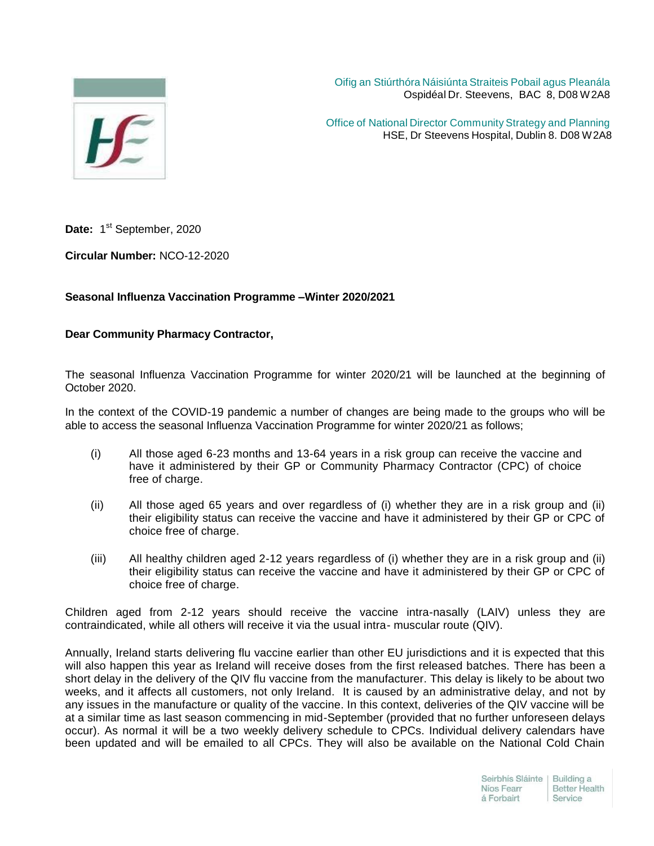

Oifig an Stiúrthóra Náisiúnta Straiteis Pobail agus Pleanála Ospidéal Dr. Steevens, BAC 8, D08 W2A8

Office of National Director Community Strategy and Planning HSE, Dr Steevens Hospital, Dublin 8. D08 W2A8

Date: 1<sup>st</sup> September, 2020

**Circular Number:** NCO-12-2020

## **Seasonal Influenza Vaccination Programme –Winter 2020/2021**

## **Dear Community Pharmacy Contractor,**

The seasonal Influenza Vaccination Programme for winter 2020/21 will be launched at the beginning of October 2020.

In the context of the COVID-19 pandemic a number of changes are being made to the groups who will be able to access the seasonal Influenza Vaccination Programme for winter 2020/21 as follows;

- (i) All those aged 6-23 months and 13-64 years in a risk group can receive the vaccine and have it administered by their GP or Community Pharmacy Contractor (CPC) of choice free of charge.
- (ii) All those aged 65 years and over regardless of (i) whether they are in a risk group and (ii) their eligibility status can receive the vaccine and have it administered by their GP or CPC of choice free of charge.
- (iii) All healthy children aged 2-12 years regardless of (i) whether they are in a risk group and (ii) their eligibility status can receive the vaccine and have it administered by their GP or CPC of choice free of charge.

Children aged from 2-12 years should receive the vaccine intra-nasally (LAIV) unless they are contraindicated, while all others will receive it via the usual intra- muscular route (QIV).

Annually, Ireland starts delivering flu vaccine earlier than other EU jurisdictions and it is expected that this will also happen this year as Ireland will receive doses from the first released batches. There has been a short delay in the delivery of the QIV flu vaccine from the manufacturer. This delay is likely to be about two weeks, and it affects all customers, not only Ireland. It is caused by an administrative delay, and not by any issues in the manufacture or quality of the vaccine. In this context, deliveries of the QIV vaccine will be at a similar time as last season commencing in mid-September (provided that no further unforeseen delays occur). As normal it will be a two weekly delivery schedule to CPCs. Individual delivery calendars have been updated and will be emailed to all CPCs. They will also be available on the National Cold Chain

| Seirbhís Sláinte   Building a |                      |
|-------------------------------|----------------------|
| Níos Fearr                    | <b>Better Health</b> |
| á Forbairt                    | Service              |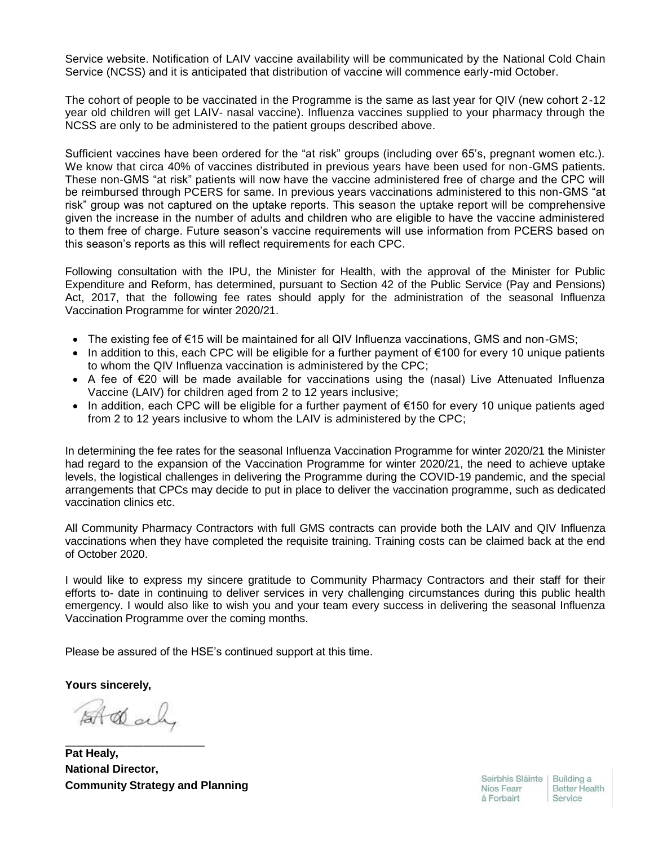Service website. Notification of LAIV vaccine availability will be communicated by the National Cold Chain Service (NCSS) and it is anticipated that distribution of vaccine will commence early-mid October.

The cohort of people to be vaccinated in the Programme is the same as last year for QIV (new cohort 2-12 year old children will get LAIV- nasal vaccine). Influenza vaccines supplied to your pharmacy through the NCSS are only to be administered to the patient groups described above.

Sufficient vaccines have been ordered for the "at risk" groups (including over 65's, pregnant women etc.). We know that circa 40% of vaccines distributed in previous years have been used for non-GMS patients. These non-GMS "at risk" patients will now have the vaccine administered free of charge and the CPC will be reimbursed through PCERS for same. In previous years vaccinations administered to this non-GMS "at risk" group was not captured on the uptake reports. This season the uptake report will be comprehensive given the increase in the number of adults and children who are eligible to have the vaccine administered to them free of charge. Future season's vaccine requirements will use information from PCERS based on this season's reports as this will reflect requirements for each CPC.

Following consultation with the IPU, the Minister for Health, with the approval of the Minister for Public Expenditure and Reform, has determined, pursuant to Section 42 of the Public Service (Pay and Pensions) Act, 2017, that the following fee rates should apply for the administration of the seasonal Influenza Vaccination Programme for winter 2020/21.

- The existing fee of €15 will be maintained for all QIV Influenza vaccinations, GMS and non-GMS;
- In addition to this, each CPC will be eligible for a further payment of  $\epsilon$ 100 for every 10 unique patients to whom the QIV Influenza vaccination is administered by the CPC;
- A fee of €20 will be made available for vaccinations using the (nasal) Live Attenuated Influenza Vaccine (LAIV) for children aged from 2 to 12 years inclusive;
- In addition, each CPC will be eligible for a further payment of €150 for every 10 unique patients aged from 2 to 12 years inclusive to whom the LAIV is administered by the CPC;

In determining the fee rates for the seasonal Influenza Vaccination Programme for winter 2020/21 the Minister had regard to the expansion of the Vaccination Programme for winter 2020/21, the need to achieve uptake levels, the logistical challenges in delivering the Programme during the COVID-19 pandemic, and the special arrangements that CPCs may decide to put in place to deliver the vaccination programme, such as dedicated vaccination clinics etc.

All Community Pharmacy Contractors with full GMS contracts can provide both the LAIV and QIV Influenza vaccinations when they have completed the requisite training. Training costs can be claimed back at the end of October 2020.

I would like to express my sincere gratitude to Community Pharmacy Contractors and their staff for their efforts to- date in continuing to deliver services in very challenging circumstances during this public health emergency. I would also like to wish you and your team every success in delivering the seasonal Influenza Vaccination Programme over the coming months.

Please be assured of the HSE's continued support at this time.

**Yours sincerely,**

At dal

\_\_\_\_\_\_\_\_\_\_\_\_\_\_\_\_\_\_\_\_\_\_\_\_\_

**Pat Healy, National Director, Community Strategy and Planning**

Seirbhís Sláinte | Building a Níos Fearr á Forbairt